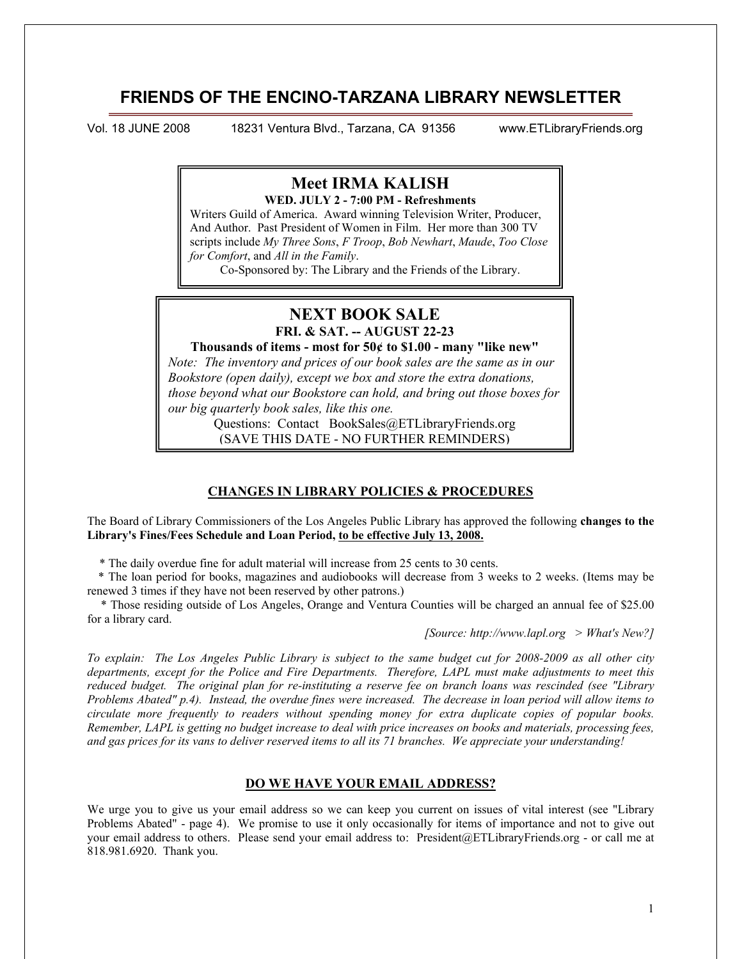# **FRIENDS OF THE ENCINO-TARZANA LIBRARY NEWSLETTER**

1

Vol. 18 JUNE 2008 18231 Ventura Blvd., Tarzana, CA 91356 www.ETLibraryFriends.org

# **Meet IRMA KALISH WED. JULY 2 - 7:00 PM - Refreshments**

Writers Guild of America. Award winning Television Writer, Producer, And Author. Past President of Women in Film. Her more than 300 TV scripts include *My Three Sons*, *F Troop*, *Bob Newhart*, *Maude*, *Too Close for Comfort*, and *All in the Family*.

Co-Sponsored by: The Library and the Friends of the Library.

# **NEXT BOOK SALE**

**FRI. & SAT. -- AUGUST 22-23** 

# **Thousands of items - most for 50¢ to \$1.00 - many "like new"**

*Note: The inventory and prices of our book sales are the same as in our Bookstore (open daily), except we box and store the extra donations, those beyond what our Bookstore can hold, and bring out those boxes for our big quarterly book sales, like this one.*

> Questions: Contact BookSales@ETLibraryFriends.org (SAVE THIS DATE - NO FURTHER REMINDERS)

## **CHANGES IN LIBRARY POLICIES & PROCEDURES**

The Board of Library Commissioners of the Los Angeles Public Library has approved the following **changes to the Library's Fines/Fees Schedule and Loan Period, to be effective July 13, 2008.**

\* The daily overdue fine for adult material will increase from 25 cents to 30 cents.

 \* The loan period for books, magazines and audiobooks will decrease from 3 weeks to 2 weeks. (Items may be renewed 3 times if they have not been reserved by other patrons.)

 \* Those residing outside of Los Angeles, Orange and Ventura Counties will be charged an annual fee of \$25.00 for a library card.

*[Source: http://www.lapl.org > What's New?]*

*To explain: The Los Angeles Public Library is subject to the same budget cut for 2008-2009 as all other city departments, except for the Police and Fire Departments. Therefore, LAPL must make adjustments to meet this reduced budget. The original plan for re-instituting a reserve fee on branch loans was rescinded (see "Library Problems Abated" p.4). Instead, the overdue fines were increased. The decrease in loan period will allow items to circulate more frequently to readers without spending money for extra duplicate copies of popular books. Remember, LAPL is getting no budget increase to deal with price increases on books and materials, processing fees, and gas prices for its vans to deliver reserved items to all its 71 branches. We appreciate your understanding!*

## **DO WE HAVE YOUR EMAIL ADDRESS?**

We urge you to give us your email address so we can keep you current on issues of vital interest (see "Library Problems Abated" - page 4). We promise to use it only occasionally for items of importance and not to give out your email address to others. Please send your email address to: President@ETLibraryFriends.org - or call me at 818.981.6920. Thank you.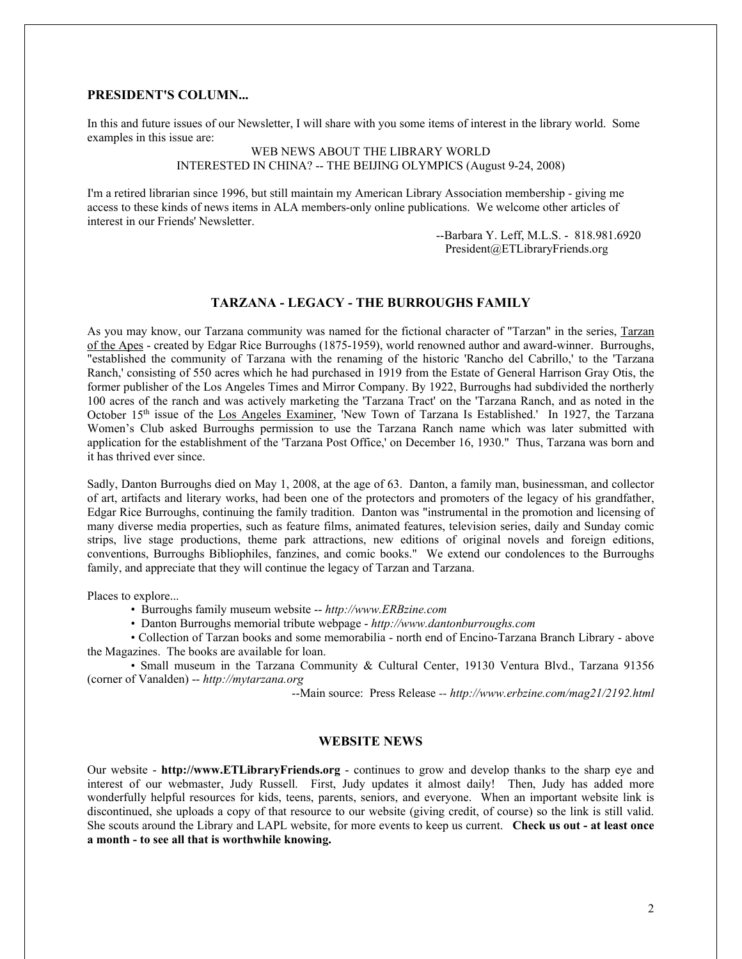## **PRESIDENT'S COLUMN...**

In this and future issues of our Newsletter, I will share with you some items of interest in the library world. Some examples in this issue are:

> WEB NEWS ABOUT THE LIBRARY WORLD INTERESTED IN CHINA? -- THE BEIJING OLYMPICS (August 9-24, 2008)

I'm a retired librarian since 1996, but still maintain my American Library Association membership - giving me access to these kinds of news items in ALA members-only online publications. We welcome other articles of interest in our Friends' Newsletter.

> --Barbara Y. Leff, M.L.S. - 818.981.6920 President@ETLibraryFriends.org

## **TARZANA - LEGACY - THE BURROUGHS FAMILY**

As you may know, our Tarzana community was named for the fictional character of "Tarzan" in the series, Tarzan of the Apes - created by Edgar Rice Burroughs (1875-1959), world renowned author and award-winner. Burroughs, "established the community of Tarzana with the renaming of the historic 'Rancho del Cabrillo,' to the 'Tarzana Ranch,' consisting of 550 acres which he had purchased in 1919 from the Estate of General Harrison Gray Otis, the former publisher of the Los Angeles Times and Mirror Company. By 1922, Burroughs had subdivided the northerly 100 acres of the ranch and was actively marketing the 'Tarzana Tract' on the 'Tarzana Ranch, and as noted in the October 15<sup>th</sup> issue of the Los Angeles Examiner, 'New Town of Tarzana Is Established.' In 1927, the Tarzana Women's Club asked Burroughs permission to use the Tarzana Ranch name which was later submitted with application for the establishment of the 'Tarzana Post Office,' on December 16, 1930." Thus, Tarzana was born and it has thrived ever since.

Sadly, Danton Burroughs died on May 1, 2008, at the age of 63. Danton, a family man, businessman, and collector of art, artifacts and literary works, had been one of the protectors and promoters of the legacy of his grandfather, Edgar Rice Burroughs, continuing the family tradition. Danton was "instrumental in the promotion and licensing of many diverse media properties, such as feature films, animated features, television series, daily and Sunday comic strips, live stage productions, theme park attractions, new editions of original novels and foreign editions, conventions, Burroughs Bibliophiles, fanzines, and comic books." We extend our condolences to the Burroughs family, and appreciate that they will continue the legacy of Tarzan and Tarzana.

Places to explore...

- Burroughs family museum website -- *http://www.ERBzine.com*
- Danton Burroughs memorial tribute webpage *http://www.dantonburroughs.com*

• Collection of Tarzan books and some memorabilia - north end of Encino-Tarzana Branch Library - above the Magazines. The books are available for loan.

• Small museum in the Tarzana Community & Cultural Center, 19130 Ventura Blvd., Tarzana 91356 (corner of Vanalden) -- *http://mytarzana.org*

--Main source:Press Release *-- http://www.erbzine.com/mag21/2192.html*

#### **WEBSITE NEWS**

Our website - **http://www.ETLibraryFriends.org** - continues to grow and develop thanks to the sharp eye and interest of our webmaster, Judy Russell. First, Judy updates it almost daily! Then, Judy has added more wonderfully helpful resources for kids, teens, parents, seniors, and everyone. When an important website link is discontinued, she uploads a copy of that resource to our website (giving credit, of course) so the link is still valid. She scouts around the Library and LAPL website, for more events to keep us current. **Check us out - at least once a month - to see all that is worthwhile knowing.**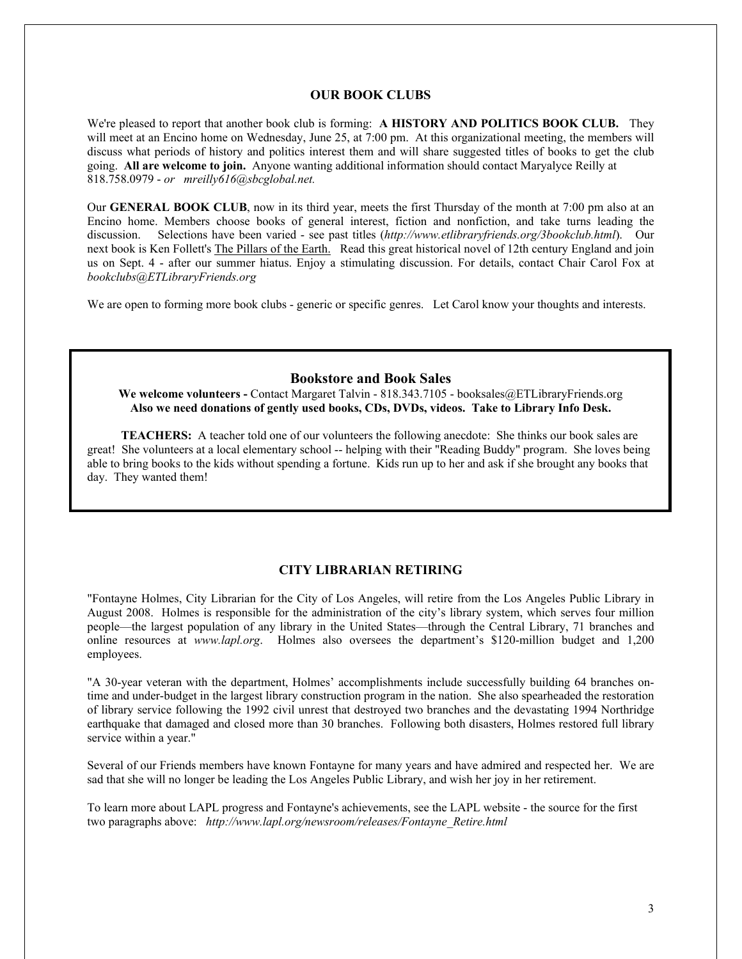#### **OUR BOOK CLUBS**

We're pleased to report that another book club is forming: **A HISTORY AND POLITICS BOOK CLUB.** They will meet at an Encino home on Wednesday, June 25, at 7:00 pm. At this organizational meeting, the members will discuss what periods of history and politics interest them and will share suggested titles of books to get the club going. **All are welcome to join.** Anyone wanting additional information should contact Maryalyce Reilly at 818.758.0979 - *or mreilly616@sbcglobal.net.*

Our **GENERAL BOOK CLUB**, now in its third year, meets the first Thursday of the month at 7:00 pm also at an Encino home. Members choose books of general interest, fiction and nonfiction, and take turns leading the discussion. Selections have been varied - see past titles (*http://www.etlibraryfriends.org/3bookclub.html*). Our next book is Ken Follett's The Pillars of the Earth. Read this great historical novel of 12th century England and join us on Sept. 4 - after our summer hiatus. Enjoy a stimulating discussion. For details, contact Chair Carol Fox at *bookclubs@ETLibraryFriends.org*

We are open to forming more book clubs - generic or specific genres. Let Carol know your thoughts and interests.

# **Bookstore and Book Sales**

**We welcome volunteers -** Contact Margaret Talvin - 818.343.7105 - booksales@ETLibraryFriends.org **Also we need donations of gently used books, CDs, DVDs, videos. Take to Library Info Desk.**

**TEACHERS:** A teacher told one of our volunteers the following anecdote: She thinks our book sales are great! She volunteers at a local elementary school -- helping with their "Reading Buddy" program. She loves being able to bring books to the kids without spending a fortune. Kids run up to her and ask if she brought any books that day. They wanted them!

### **CITY LIBRARIAN RETIRING**

"Fontayne Holmes, City Librarian for the City of Los Angeles, will retire from the Los Angeles Public Library in August 2008. Holmes is responsible for the administration of the city's library system, which serves four million people—the largest population of any library in the United States—through the Central Library, 71 branches and online resources at *www.lapl.org*. Holmes also oversees the department's \$120-million budget and 1,200 employees.

"A 30-year veteran with the department, Holmes' accomplishments include successfully building 64 branches ontime and under-budget in the largest library construction program in the nation. She also spearheaded the restoration of library service following the 1992 civil unrest that destroyed two branches and the devastating 1994 Northridge earthquake that damaged and closed more than 30 branches. Following both disasters, Holmes restored full library service within a year."

Several of our Friends members have known Fontayne for many years and have admired and respected her. We are sad that she will no longer be leading the Los Angeles Public Library, and wish her joy in her retirement.

To learn more about LAPL progress and Fontayne's achievements, see the LAPL website - the source for the first two paragraphs above: *http://www.lapl.org/newsroom/releases/Fontayne\_Retire.html*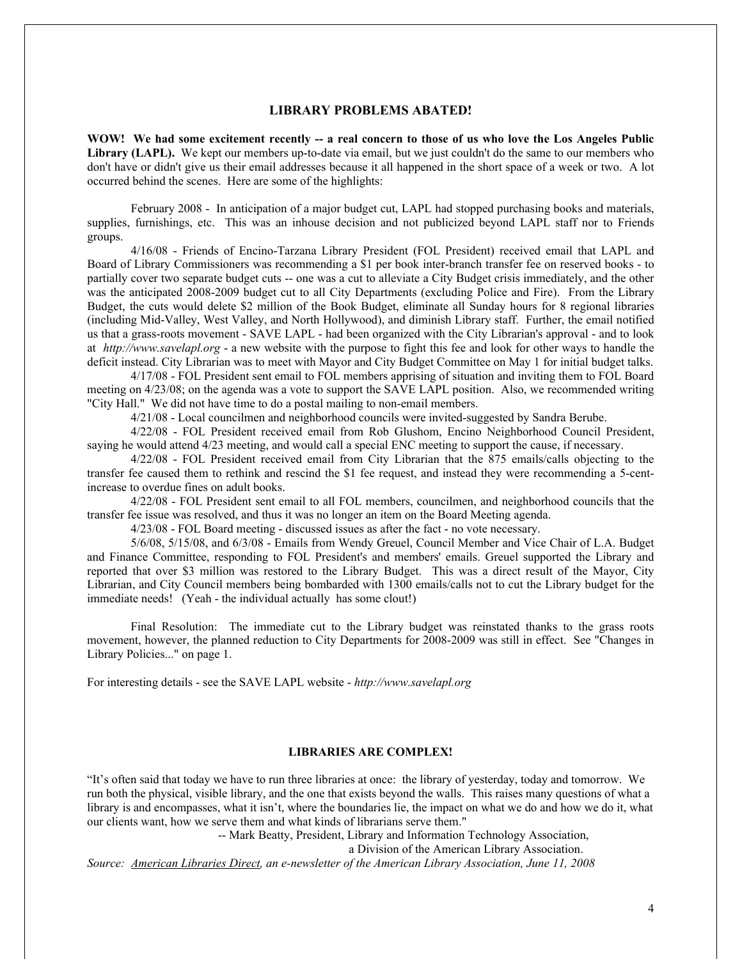## **LIBRARY PROBLEMS ABATED!**

**WOW! We had some excitement recently -- a real concern to those of us who love the Los Angeles Public**  Library (LAPL). We kept our members up-to-date via email, but we just couldn't do the same to our members who don't have or didn't give us their email addresses because it all happened in the short space of a week or two. A lot occurred behind the scenes. Here are some of the highlights:

February 2008 - In anticipation of a major budget cut, LAPL had stopped purchasing books and materials, supplies, furnishings, etc. This was an inhouse decision and not publicized beyond LAPL staff nor to Friends groups.

4/16/08 - Friends of Encino-Tarzana Library President (FOL President) received email that LAPL and Board of Library Commissioners was recommending a \$1 per book inter-branch transfer fee on reserved books - to partially cover two separate budget cuts -- one was a cut to alleviate a City Budget crisis immediately, and the other was the anticipated 2008-2009 budget cut to all City Departments (excluding Police and Fire). From the Library Budget, the cuts would delete \$2 million of the Book Budget, eliminate all Sunday hours for 8 regional libraries (including Mid-Valley, West Valley, and North Hollywood), and diminish Library staff. Further, the email notified us that a grass-roots movement - SAVE LAPL - had been organized with the City Librarian's approval - and to look at *http://www.savelapl.org* - a new website with the purpose to fight this fee and look for other ways to handle the deficit instead. City Librarian was to meet with Mayor and City Budget Committee on May 1 for initial budget talks.

4/17/08 - FOL President sent email to FOL members apprising of situation and inviting them to FOL Board meeting on 4/23/08; on the agenda was a vote to support the SAVE LAPL position. Also, we recommended writing "City Hall." We did not have time to do a postal mailing to non-email members.

4/21/08 - Local councilmen and neighborhood councils were invited-suggested by Sandra Berube.

4/22/08 - FOL President received email from Rob Glushom, Encino Neighborhood Council President, saying he would attend  $4/23$  meeting, and would call a special ENC meeting to support the cause, if necessary.

4/22/08 - FOL President received email from City Librarian that the 875 emails/calls objecting to the transfer fee caused them to rethink and rescind the \$1 fee request, and instead they were recommending a 5-centincrease to overdue fines on adult books.

4/22/08 - FOL President sent email to all FOL members, councilmen, and neighborhood councils that the transfer fee issue was resolved, and thus it was no longer an item on the Board Meeting agenda.

4/23/08 - FOL Board meeting - discussed issues as after the fact - no vote necessary.

5/6/08, 5/15/08, and 6/3/08 - Emails from Wendy Greuel, Council Member and Vice Chair of L.A. Budget and Finance Committee, responding to FOL President's and members' emails. Greuel supported the Library and reported that over \$3 million was restored to the Library Budget. This was a direct result of the Mayor, City Librarian, and City Council members being bombarded with 1300 emails/calls not to cut the Library budget for the immediate needs! (Yeah - the individual actually has some clout!)

Final Resolution: The immediate cut to the Library budget was reinstated thanks to the grass roots movement, however, the planned reduction to City Departments for 2008-2009 was still in effect. See "Changes in Library Policies..." on page 1.

For interesting details - see the SAVE LAPL website - *http://www.savelapl.org*

## **LIBRARIES ARE COMPLEX!**

"It's often said that today we have to run three libraries at once: the library of yesterday, today and tomorrow. We run both the physical, visible library, and the one that exists beyond the walls. This raises many questions of what a library is and encompasses, what it isn't, where the boundaries lie, the impact on what we do and how we do it, what our clients want, how we serve them and what kinds of librarians serve them."

-- Mark Beatty, President, Library and Information Technology Association,

a Division of the American Library Association.

*Source: American Libraries Direct, an e-newsletter of the American Library Association, June 11, 2008*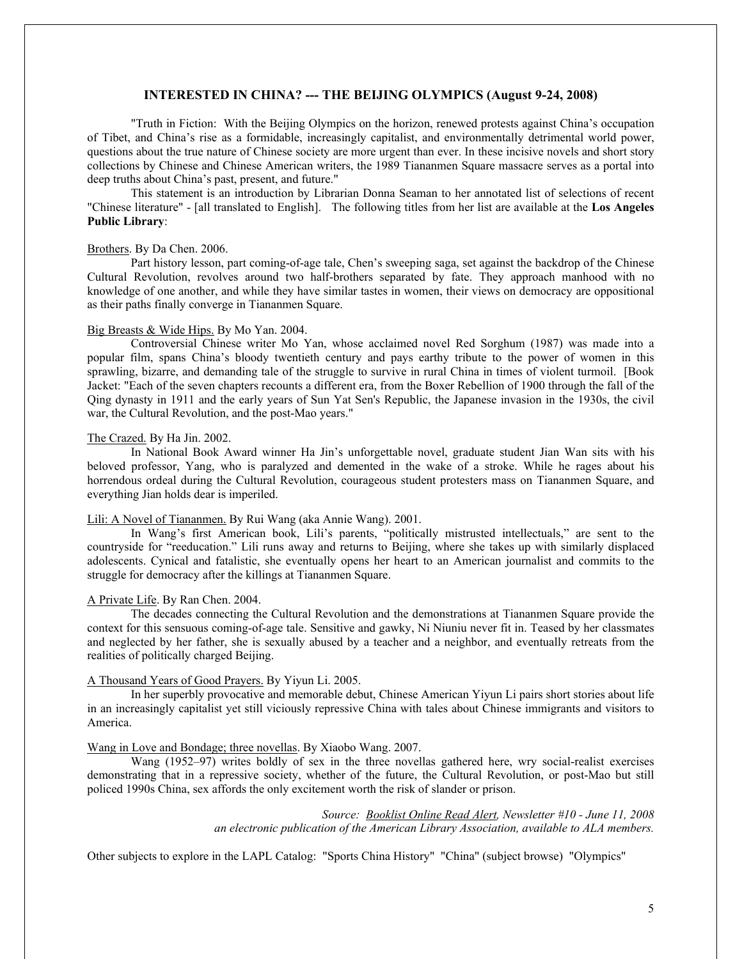## **INTERESTED IN CHINA? --- THE BEIJING OLYMPICS (August 9-24, 2008)**

"Truth in Fiction: With the Beijing Olympics on the horizon, renewed protests against China's occupation of Tibet, and China's rise as a formidable, increasingly capitalist, and environmentally detrimental world power, questions about the true nature of Chinese society are more urgent than ever. In these incisive novels and short story collections by Chinese and Chinese American writers, the 1989 Tiananmen Square massacre serves as a portal into deep truths about China's past, present, and future."

This statement is an introduction by Librarian Donna Seaman to her annotated list of selections of recent "Chinese literature" - [all translated to English]. The following titles from her list are available at the **Los Angeles Public Library**:

#### Brothers. By Da Chen. 2006.

Part history lesson, part coming-of-age tale, Chen's sweeping saga, set against the backdrop of the Chinese Cultural Revolution, revolves around two half-brothers separated by fate. They approach manhood with no knowledge of one another, and while they have similar tastes in women, their views on democracy are oppositional as their paths finally converge in Tiananmen Square.

#### Big Breasts & Wide Hips. By Mo Yan. 2004.

Controversial Chinese writer Mo Yan, whose acclaimed novel Red Sorghum (1987) was made into a popular film, spans China's bloody twentieth century and pays earthy tribute to the power of women in this sprawling, bizarre, and demanding tale of the struggle to survive in rural China in times of violent turmoil. [Book Jacket: "Each of the seven chapters recounts a different era, from the Boxer Rebellion of 1900 through the fall of the Qing dynasty in 1911 and the early years of Sun Yat Sen's Republic, the Japanese invasion in the 1930s, the civil war, the Cultural Revolution, and the post-Mao years."

#### The Crazed. By Ha Jin. 2002.

In National Book Award winner Ha Jin's unforgettable novel, graduate student Jian Wan sits with his beloved professor, Yang, who is paralyzed and demented in the wake of a stroke. While he rages about his horrendous ordeal during the Cultural Revolution, courageous student protesters mass on Tiananmen Square, and everything Jian holds dear is imperiled.

#### Lili: A Novel of Tiananmen. By Rui Wang (aka Annie Wang). 2001.

In Wang's first American book, Lili's parents, "politically mistrusted intellectuals," are sent to the countryside for "reeducation." Lili runs away and returns to Beijing, where she takes up with similarly displaced adolescents. Cynical and fatalistic, she eventually opens her heart to an American journalist and commits to the struggle for democracy after the killings at Tiananmen Square.

## A Private Life. By Ran Chen. 2004.

The decades connecting the Cultural Revolution and the demonstrations at Tiananmen Square provide the context for this sensuous coming-of-age tale. Sensitive and gawky, Ni Niuniu never fit in. Teased by her classmates and neglected by her father, she is sexually abused by a teacher and a neighbor, and eventually retreats from the realities of politically charged Beijing.

## A Thousand Years of Good Prayers. By Yiyun Li. 2005.

In her superbly provocative and memorable debut, Chinese American Yiyun Li pairs short stories about life in an increasingly capitalist yet still viciously repressive China with tales about Chinese immigrants and visitors to America.

#### Wang in Love and Bondage; three novellas. By Xiaobo Wang. 2007.

Wang (1952–97) writes boldly of sex in the three novellas gathered here, wry social-realist exercises demonstrating that in a repressive society, whether of the future, the Cultural Revolution, or post-Mao but still policed 1990s China, sex affords the only excitement worth the risk of slander or prison.

> *Source: Booklist Online Read Alert, Newsletter #10 - June 11, 2008 an electronic publication of the American Library Association, available to ALA members.*

Other subjects to explore in the LAPL Catalog: "Sports China History" "China" (subject browse) "Olympics"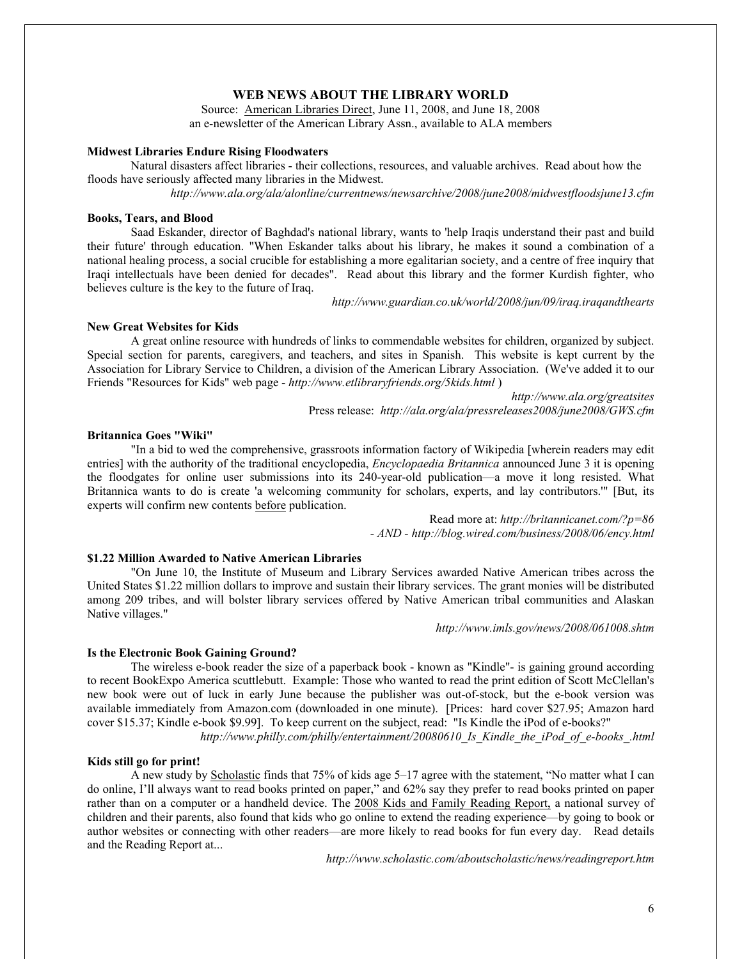# **WEB NEWS ABOUT THE LIBRARY WORLD**

Source: American Libraries Direct, June 11, 2008, and June 18, 2008 an e-newsletter of the American Library Assn., available to ALA members

#### **Midwest Libraries Endure Rising Floodwaters**

Natural disasters affect libraries - their collections, resources, and valuable archives. Read about how the floods have seriously affected many libraries in the Midwest.

*http://www.ala.org/ala/alonline/currentnews/newsarchive/2008/june2008/midwestfloodsjune13.cfm*

## **Books, Tears, and Blood**

Saad Eskander, director of Baghdad's national library, wants to 'help Iraqis understand their past and build their future' through education. "When Eskander talks about his library, he makes it sound a combination of a national healing process, a social crucible for establishing a more egalitarian society, and a centre of free inquiry that Iraqi intellectuals have been denied for decades". Read about this library and the former Kurdish fighter, who believes culture is the key to the future of Iraq.

*http://www.guardian.co.uk/world/2008/jun/09/iraq.iraqandthearts*

#### **New Great Websites for Kids**

A great online resource with hundreds of links to commendable websites for children, organized by subject. Special section for parents, caregivers, and teachers, and sites in Spanish. This website is kept current by the Association for Library Service to Children, a division of the American Library Association. (We've added it to our Friends "Resources for Kids" web page - *http://www.etlibraryfriends.org/5kids.html* )

> *http://www.ala.org/greatsites* Press release: *http://ala.org/ala/pressreleases2008/june2008/GWS.cfm*

#### **Britannica Goes "Wiki"**

"In a bid to wed the comprehensive, grassroots information factory of Wikipedia [wherein readers may edit entries] with the authority of the traditional encyclopedia, *Encyclopaedia Britannica* announced June 3 it is opening the floodgates for online user submissions into its 240-year-old publication—a move it long resisted. What Britannica wants to do is create 'a welcoming community for scholars, experts, and lay contributors.'" [But, its experts will confirm new contents before publication.

> Read more at: *http://britannicanet.com/?p=86 - AND - http://blog.wired.com/business/2008/06/ency.html*

## **\$1.22 Million Awarded to Native American Libraries**

"On June 10, the Institute of Museum and Library Services awarded Native American tribes across the United States \$1.22 million dollars to improve and sustain their library services. The grant monies will be distributed among 209 tribes, and will bolster library services offered by Native American tribal communities and Alaskan Native villages."

*http://www.imls.gov/news/2008/061008.shtm*

#### **Is the Electronic Book Gaining Ground?**

The wireless e-book reader the size of a paperback book - known as "Kindle"- is gaining ground according to recent BookExpo America scuttlebutt. Example: Those who wanted to read the print edition of Scott McClellan's new book were out of luck in early June because the publisher was out-of-stock, but the e-book version was available immediately from Amazon.com (downloaded in one minute). [Prices: hard cover \$27.95; Amazon hard cover \$15.37; Kindle e-book \$9.99]. To keep current on the subject, read: "Is Kindle the iPod of e-books?"

*http://www.philly.com/philly/entertainment/20080610\_Is\_Kindle\_the\_iPod\_of\_e-books\_.html*

#### **Kids still go for print!**

A new study by Scholastic finds that 75% of kids age 5–17 agree with the statement, "No matter what I can do online, I'll always want to read books printed on paper," and 62% say they prefer to read books printed on paper rather than on a computer or a handheld device. The 2008 Kids and Family Reading Report, a national survey of children and their parents, also found that kids who go online to extend the reading experience—by going to book or author websites or connecting with other readers—are more likely to read books for fun every day. Read details and the Reading Report at...

*http://www.scholastic.com/aboutscholastic/news/readingreport.htm*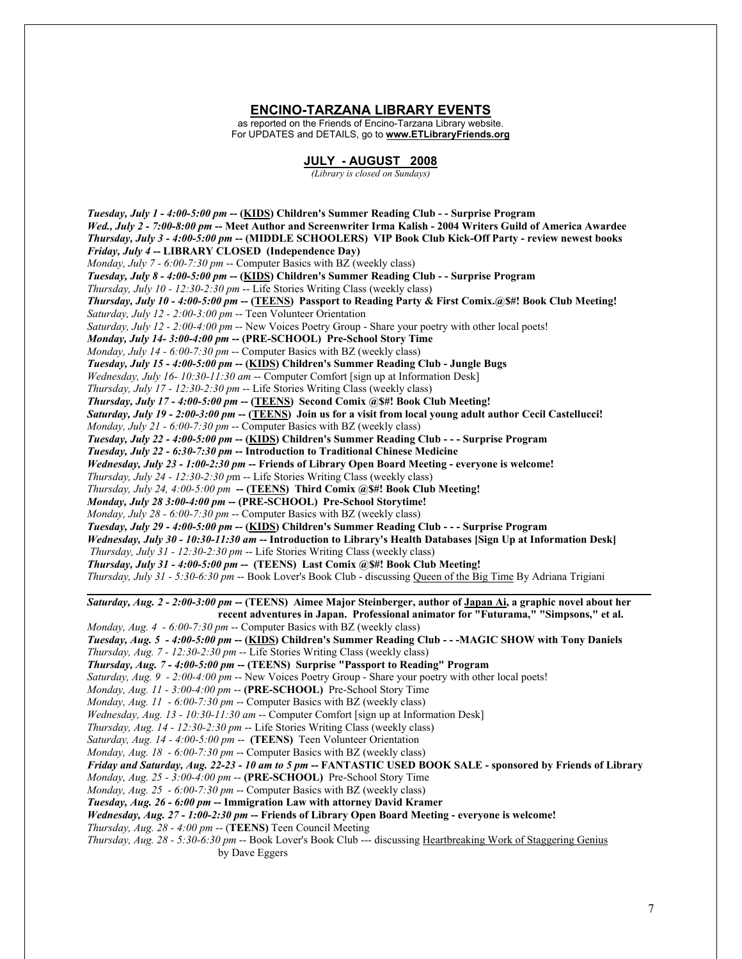## **ENCINO-TARZANA LIBRARY EVENTS**

as reported on the Friends of Encino-Tarzana Library website. For UPDATES and DETAILS, go to **www.ETLibraryFriends.org**

#### **JULY - AUGUST 2008**

*(Library is closed on Sundays)*

*Tuesday, July 1 - 4:00-5:00 pm* **-- (KIDS) Children's Summer Reading Club - - Surprise Program**  *Wed., July 2 - 7:00-8:00 pm* **-- Meet Author and Screenwriter Irma Kalish - 2004 Writers Guild of America Awardee** *Thursday, July 3 - 4:00-5:00 pm* **-- (MIDDLE SCHOOLERS) VIP Book Club Kick-Off Party - review newest books** *Friday, July 4 --* **LIBRARY CLOSED (Independence Day)** *Monday, July 7 - 6:00-7:30 pm* -- Computer Basics with BZ (weekly class) *Tuesday, July 8 - 4:00-5:00 pm* **-- (KIDS) Children's Summer Reading Club - - Surprise Program** *Thursday, July 10 - 12:30-2:30 pm* -- Life Stories Writing Class (weekly class) *Thursday, July 10 - 4:00-5:00 pm* **-- (TEENS) Passport to Reading Party & First Comix.@\$#! Book Club Meeting!** *Saturday, July 12 - 2:00-3:00 pm* -- Teen Volunteer Orientation *Saturday, July 12 - 2:00-4:00 pm* -- New Voices Poetry Group - Share your poetry with other local poets! *Monday, July 14- 3:00-4:00 pm* **-- (PRE-SCHOOL) Pre-School Story Time** *Monday, July 14 - 6:00-7:30 pm* -- Computer Basics with BZ (weekly class) *Tuesday, July 15 - 4:00-5:00 pm* **-- (KIDS) Children's Summer Reading Club - Jungle Bugs**  *Wednesday, July 16- 10:30-11:30 am* -- Computer Comfort [sign up at Information Desk] *Thursday, July 17 - 12:30-2:30 pm* -- Life Stories Writing Class (weekly class) *Thursday, July 17 - 4:00-5:00 pm* **-- (TEENS) Second Comix @\$#! Book Club Meeting!** *Saturday, July 19 - 2:00-3:00 pm* **-- (TEENS) Join us for a visit from local young adult author Cecil Castellucci!** *Monday, July 21 - 6:00-7:30 pm* -- Computer Basics with BZ (weekly class) *Tuesday, July 22 - 4:00-5:00 pm* **-- (KIDS) Children's Summer Reading Club - - - Surprise Program** *Tuesday, July 22 - 6:30-7:30 pm* **-- Introduction to Traditional Chinese Medicine** *Wednesday, July 23 - 1:00-2:30 pm* **-- Friends of Library Open Board Meeting - everyone is welcome!** *Thursday, July 24 - 12:30-2:30 p*m -- Life Stories Writing Class (weekly class) *Thursday, July 24, 4:00-5:00 pm* **-- (TEENS) Third Comix @\$#! Book Club Meeting!** *Monday, July 28 3:00-4:00 pm* **-- (PRE-SCHOOL) Pre-School Storytime!** *Monday, July 28 - 6:00-7:30 pm* -- Computer Basics with BZ (weekly class) *Tuesday, July 29 - 4:00-5:00 pm* **-- (KIDS) Children's Summer Reading Club - - - Surprise Program** *Wednesday, July 30 - 10:30-11:30 am* **-- Introduction to Library's Health Databases [Sign Up at Information Desk]** *Thursday, July 31 - 12:30-2:30 pm* -- Life Stories Writing Class (weekly class) *Thursday, July 31 - 4:00-5:00 pm* **-- (TEENS) Last Comix @\$#! Book Club Meeting!** *Thursday, July 31 - 5:30-6:30 pm* -- Book Lover's Book Club - discussing Queen of the Big Time By Adriana Trigiani  $\mathcal{L}_\mathcal{L} = \mathcal{L}_\mathcal{L} = \mathcal{L}_\mathcal{L} = \mathcal{L}_\mathcal{L} = \mathcal{L}_\mathcal{L} = \mathcal{L}_\mathcal{L} = \mathcal{L}_\mathcal{L} = \mathcal{L}_\mathcal{L} = \mathcal{L}_\mathcal{L} = \mathcal{L}_\mathcal{L} = \mathcal{L}_\mathcal{L} = \mathcal{L}_\mathcal{L} = \mathcal{L}_\mathcal{L} = \mathcal{L}_\mathcal{L} = \mathcal{L}_\mathcal{L} = \mathcal{L}_\mathcal{L} = \mathcal{L}_\mathcal{L}$ *Saturday, Aug. 2 - 2:00-3:00 pm* **-- (TEENS) Aimee Major Steinberger, author of Japan Ai, a graphic novel about her recent adventures in Japan. Professional animator for "Futurama," "Simpsons," et al.** *Monday, Aug. 4 - 6:00-7:30 pm* -- Computer Basics with BZ (weekly class) *Tuesday, Aug. 5 - 4:00-5:00 pm* **-- (KIDS) Children's Summer Reading Club - - -MAGIC SHOW with Tony Daniels** *Thursday, Aug. 7 - 12:30-2:30 pm* -- Life Stories Writing Class (weekly class) *Thursday, Aug. 7 - 4:00-5:00 pm* **-- (TEENS) Surprise "Passport to Reading" Program** *Saturday, Aug. 9 - 2:00-4:00 pm* -- New Voices Poetry Group - Share your poetry with other local poets! *Monday, Aug. 11 - 3:00-4:00 pm* -- **(PRE-SCHOOL)** Pre-School Story Time *Monday, Aug. 11 - 6:00-7:30 pm* -- Computer Basics with BZ (weekly class) *Wednesday, Aug. 13 - 10:30-11:30 am* -- Computer Comfort [sign up at Information Desk] *Thursday, Aug. 14 - 12:30-2:30 pm* -- Life Stories Writing Class (weekly class) *Saturday, Aug. 14 - 4:00-5:00 pm* -- **(TEENS)** Teen Volunteer Orientation *Monday, Aug. 18 - 6:00-7:30 pm* -- Computer Basics with BZ (weekly class) *Friday and Saturday, Aug. 22-23 - 10 am to 5 pm* **-- FANTASTIC USED BOOK SALE - sponsored by Friends of Library** *Monday, Aug. 25 - 3:00-4:00 pm* -- **(PRE-SCHOOL)** Pre-School Story Time *Monday, Aug. 25 - 6:00-7:30 pm* -- Computer Basics with BZ (weekly class) *Tuesday, Aug. 26 - 6:00 pm* **-- Immigration Law with attorney David Kramer** *Wednesday, Aug. 27 - 1:00-2:30 pm* **-- Friends of Library Open Board Meeting - everyone is welcome!** *Thursday, Aug. 28 - 4:00 pm* -- (**TEENS)** Teen Council Meeting *Thursday, Aug. 28 - 5:30-6:30 pm* -- Book Lover's Book Club --- discussing Heartbreaking Work of Staggering Genius by Dave Eggers